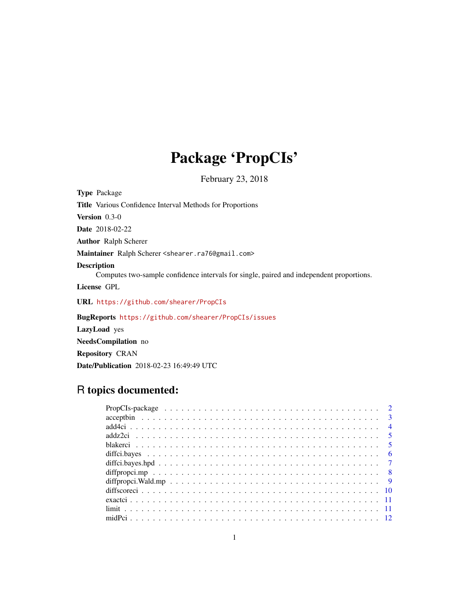# Package 'PropCIs'

February 23, 2018

Type Package Title Various Confidence Interval Methods for Proportions Version 0.3-0 Date 2018-02-22 Author Ralph Scherer Maintainer Ralph Scherer <shearer.ra76@gmail.com> Description Computes two-sample confidence intervals for single, paired and independent proportions. License GPL URL <https://github.com/shearer/PropCIs> BugReports <https://github.com/shearer/PropCIs/issues>

LazyLoad yes NeedsCompilation no Repository CRAN Date/Publication 2018-02-23 16:49:49 UTC

# R topics documented: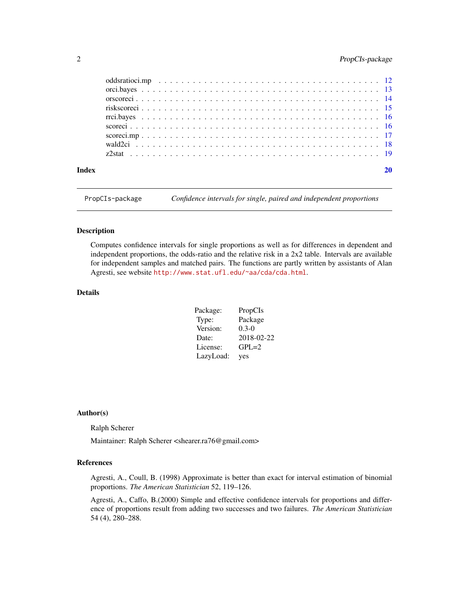# <span id="page-1-0"></span>2 PropCIs-package

| Index |  |
|-------|--|
|       |  |
|       |  |
|       |  |
|       |  |
|       |  |
|       |  |
|       |  |
|       |  |
|       |  |

PropCIs-package *Confidence intervals for single, paired and independent proportions*

#### Description

Computes confidence intervals for single proportions as well as for differences in dependent and independent proportions, the odds-ratio and the relative risk in a 2x2 table. Intervals are available for independent samples and matched pairs. The functions are partly written by assistants of Alan Agresti, see website <http://www.stat.ufl.edu/~aa/cda/cda.html>.

#### Details

| Package:  | PropCIs    |
|-----------|------------|
| Type:     | Package    |
| Version:  | $0.3-0$    |
| Date:     | 2018-02-22 |
| License:  | $GPL=2$    |
| LazyLoad: | yes        |

#### Author(s)

Ralph Scherer

Maintainer: Ralph Scherer <shearer.ra76@gmail.com>

#### References

Agresti, A., Coull, B. (1998) Approximate is better than exact for interval estimation of binomial proportions. *The American Statistician* 52, 119–126.

Agresti, A., Caffo, B.(2000) Simple and effective confidence intervals for proportions and difference of proportions result from adding two successes and two failures. *The American Statistician* 54 (4), 280–288.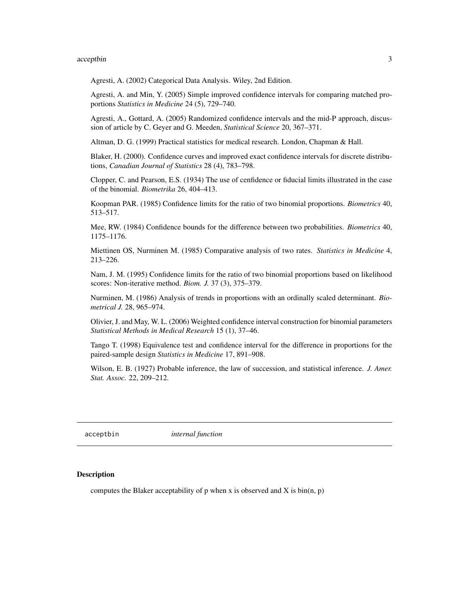#### <span id="page-2-0"></span>acceptbin 3

Agresti, A. (2002) Categorical Data Analysis. Wiley, 2nd Edition.

Agresti, A. and Min, Y. (2005) Simple improved confidence intervals for comparing matched proportions *Statistics in Medicine* 24 (5), 729–740.

Agresti, A., Gottard, A. (2005) Randomized confidence intervals and the mid-P approach, discussion of article by C. Geyer and G. Meeden, *Statistical Science* 20, 367–371.

Altman, D. G. (1999) Practical statistics for medical research. London, Chapman & Hall.

Blaker, H. (2000). Confidence curves and improved exact confidence intervals for discrete distributions, *Canadian Journal of Statistics* 28 (4), 783–798.

Clopper, C. and Pearson, E.S. (1934) The use of cenfidence or fiducial limits illustrated in the case of the binomial. *Biometrika* 26, 404–413.

Koopman PAR. (1985) Confidence limits for the ratio of two binomial proportions. *Biometrics* 40, 513–517.

Mee, RW. (1984) Confidence bounds for the difference between two probabilities. *Biometrics* 40, 1175–1176.

Miettinen OS, Nurminen M. (1985) Comparative analysis of two rates. *Statistics in Medicine* 4, 213–226.

Nam, J. M. (1995) Confidence limits for the ratio of two binomial proportions based on likelihood scores: Non-iterative method. *Biom. J.* 37 (3), 375–379.

Nurminen, M. (1986) Analysis of trends in proportions with an ordinally scaled determinant. *Biometrical J.* 28, 965–974.

Olivier, J. and May, W. L. (2006) Weighted confidence interval construction for binomial parameters *Statistical Methods in Medical Research* 15 (1), 37–46.

Tango T. (1998) Equivalence test and confidence interval for the difference in proportions for the paired-sample design *Statistics in Medicine* 17, 891–908.

Wilson, E. B. (1927) Probable inference, the law of succession, and statistical inference. *J. Amer. Stat. Assoc.* 22, 209–212.

acceptbin *internal function*

#### **Description**

computes the Blaker acceptability of  $p$  when x is observed and X is bin(n,  $p$ )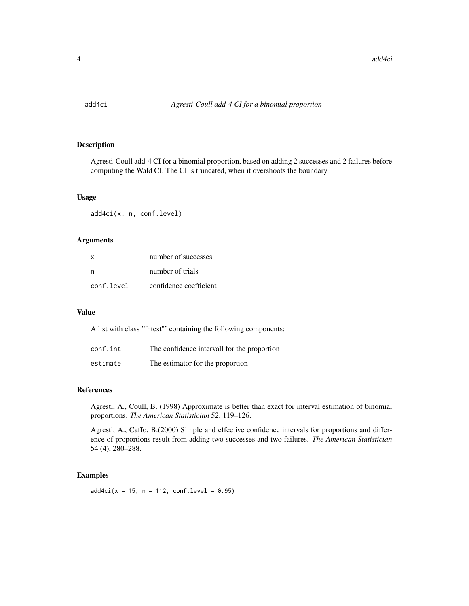<span id="page-3-0"></span>

Agresti-Coull add-4 CI for a binomial proportion, based on adding 2 successes and 2 failures before computing the Wald CI. The CI is truncated, when it overshoots the boundary

#### Usage

add4ci(x, n, conf.level)

# Arguments

| X          | number of successes    |
|------------|------------------------|
| n          | number of trials       |
| conf.level | confidence coefficient |

## Value

A list with class '"htest"' containing the following components:

| conf.int | The confidence intervall for the proportion |
|----------|---------------------------------------------|
| estimate | The estimator for the proportion            |

#### References

Agresti, A., Coull, B. (1998) Approximate is better than exact for interval estimation of binomial proportions. *The American Statistician* 52, 119–126.

Agresti, A., Caffo, B.(2000) Simple and effective confidence intervals for proportions and difference of proportions result from adding two successes and two failures. *The American Statistician* 54 (4), 280–288.

# Examples

 $add4ci(x = 15, n = 112, conf.level = 0.95)$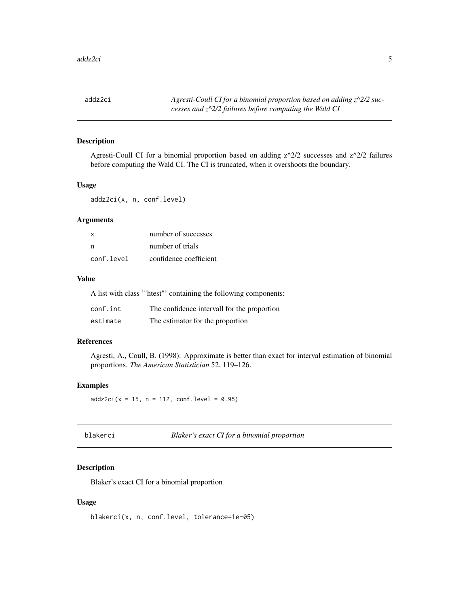<span id="page-4-0"></span>addz2ci *Agresti-Coull CI for a binomial proportion based on adding z^2/2 successes and z^2/2 failures before computing the Wald CI*

#### Description

Agresti-Coull CI for a binomial proportion based on adding z^2/2 successes and z^2/2 failures before computing the Wald CI. The CI is truncated, when it overshoots the boundary.

# Usage

addz2ci(x, n, conf.level)

#### Arguments

| x          | number of successes    |
|------------|------------------------|
| n          | number of trials       |
| conf.level | confidence coefficient |

#### Value

A list with class '"htest"' containing the following components:

| conf.int | The confidence intervall for the proportion |
|----------|---------------------------------------------|
| estimate | The estimator for the proportion            |

# References

Agresti, A., Coull, B. (1998): Approximate is better than exact for interval estimation of binomial proportions. *The American Statistician* 52, 119–126.

#### Examples

 $addz2ci(x = 15, n = 112, conf.level = 0.95)$ 

# Description

Blaker's exact CI for a binomial proportion

#### Usage

blakerci(x, n, conf.level, tolerance=1e-05)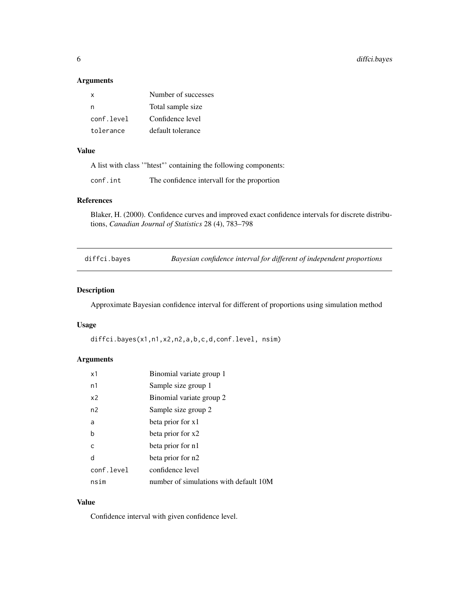#### Arguments

| x          | Number of successes |
|------------|---------------------|
| n          | Total sample size   |
| conf.level | Confidence level    |
| tolerance  | default tolerance   |

# Value

|          | A list with class "htest" containing the following components: |
|----------|----------------------------------------------------------------|
| conf.int | The confidence intervall for the proportion                    |

# References

Blaker, H. (2000). Confidence curves and improved exact confidence intervals for discrete distributions, *Canadian Journal of Statistics* 28 (4), 783–798

diffci.bayes *Bayesian confidence interval for different of independent proportions*

# Description

Approximate Bayesian confidence interval for different of proportions using simulation method

# Usage

diffci.bayes(x1,n1,x2,n2,a,b,c,d,conf.level, nsim)

# Arguments

| x1             | Binomial variate group 1               |
|----------------|----------------------------------------|
| n1             | Sample size group 1                    |
| x <sub>2</sub> | Binomial variate group 2               |
| n2             | Sample size group 2                    |
| a              | beta prior for x1                      |
| b              | beta prior for x2                      |
| C              | beta prior for n1                      |
| d              | beta prior for n2                      |
| conf.level     | confidence level                       |
| nsim           | number of simulations with default 10M |

# Value

Confidence interval with given confidence level.

<span id="page-5-0"></span>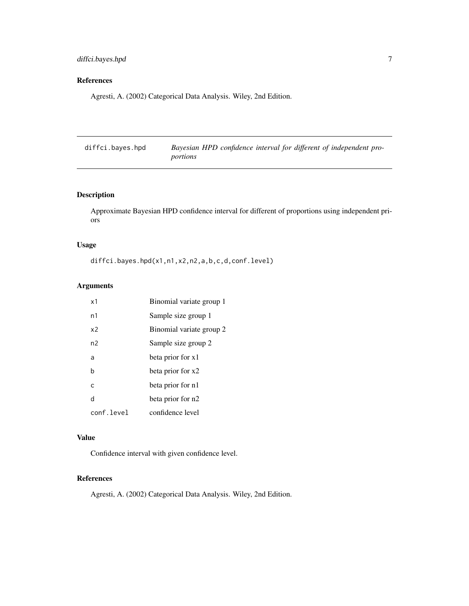# <span id="page-6-0"></span>diffci.bayes.hpd 7

# References

Agresti, A. (2002) Categorical Data Analysis. Wiley, 2nd Edition.

| diffci.bayes.hpd | Bayesian HPD confidence interval for different of independent pro- |
|------------------|--------------------------------------------------------------------|
|                  | portions                                                           |

# Description

Approximate Bayesian HPD confidence interval for different of proportions using independent priors

# Usage

diffci.bayes.hpd(x1,n1,x2,n2,a,b,c,d,conf.level)

# Arguments

| x1           | Binomial variate group 1 |
|--------------|--------------------------|
| n1           | Sample size group 1      |
| x2           | Binomial variate group 2 |
| n2           | Sample size group 2      |
| a            | beta prior for x1        |
| h            | beta prior for x2        |
| $\mathsf{C}$ | beta prior for n1        |
| d            | beta prior for n2        |
| conf.level   | confidence level         |

# Value

Confidence interval with given confidence level.

#### References

Agresti, A. (2002) Categorical Data Analysis. Wiley, 2nd Edition.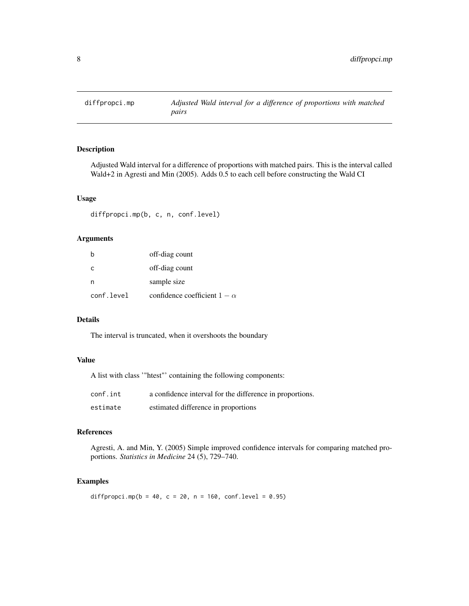<span id="page-7-0"></span>

Adjusted Wald interval for a difference of proportions with matched pairs. This is the interval called Wald+2 in Agresti and Min (2005). Adds 0.5 to each cell before constructing the Wald CI

# Usage

diffpropci.mp(b, c, n, conf.level)

#### Arguments

| h          | off-diag count                      |
|------------|-------------------------------------|
| C          | off-diag count                      |
| n          | sample size                         |
| conf.level | confidence coefficient $1 - \alpha$ |

# Details

The interval is truncated, when it overshoots the boundary

# Value

A list with class '"htest"' containing the following components:

| conf.int | a confidence interval for the difference in proportions. |  |  |  |  |  |
|----------|----------------------------------------------------------|--|--|--|--|--|
|----------|----------------------------------------------------------|--|--|--|--|--|

estimate estimated difference in proportions

#### References

Agresti, A. and Min, Y. (2005) Simple improved confidence intervals for comparing matched proportions. *Statistics in Medicine* 24 (5), 729–740.

#### Examples

diffpropci.mp( $b = 40$ ,  $c = 20$ ,  $n = 160$ , conf.level = 0.95)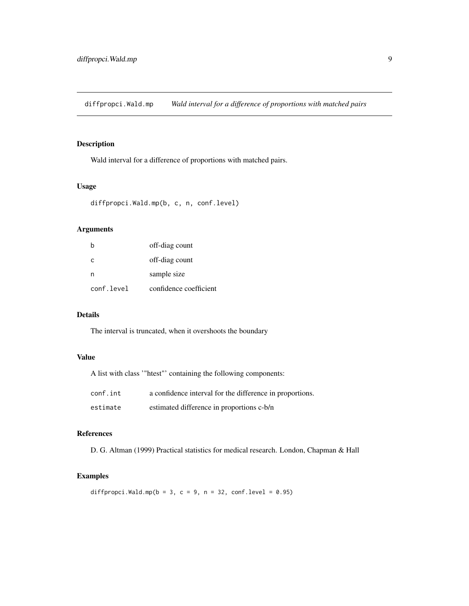<span id="page-8-0"></span>diffpropci.Wald.mp *Wald interval for a difference of proportions with matched pairs*

#### Description

Wald interval for a difference of proportions with matched pairs.

# Usage

```
diffpropci.Wald.mp(b, c, n, conf.level)
```
#### Arguments

| h            | off-diag count         |
|--------------|------------------------|
| $\mathsf{C}$ | off-diag count         |
| n            | sample size            |
| conf.level   | confidence coefficient |

#### Details

The interval is truncated, when it overshoots the boundary

# Value

|          | A list with class "hest" containing the following components: |
|----------|---------------------------------------------------------------|
| conf.int | a confidence interval for the difference in proportions.      |
| estimate | estimated difference in proportions c-b/n                     |

# References

D. G. Altman (1999) Practical statistics for medical research. London, Chapman & Hall

# Examples

diffpropci.Wald.mp( $b = 3$ ,  $c = 9$ ,  $n = 32$ , conf.level = 0.95)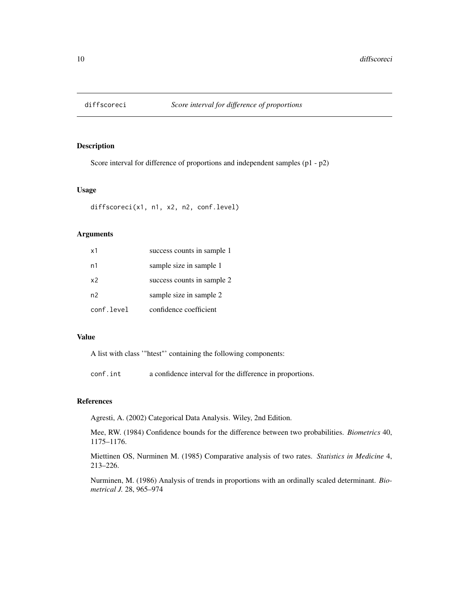<span id="page-9-0"></span>

Score interval for difference of proportions and independent samples (p1 - p2)

#### Usage

diffscoreci(x1, n1, x2, n2, conf.level)

#### Arguments

| x1             | success counts in sample 1 |
|----------------|----------------------------|
| n1             | sample size in sample 1    |
| x <sub>2</sub> | success counts in sample 2 |
| n <sub>2</sub> | sample size in sample 2    |
| conf.level     | confidence coefficient     |

# Value

A list with class '"htest"' containing the following components:

conf.int a confidence interval for the difference in proportions.

# References

Agresti, A. (2002) Categorical Data Analysis. Wiley, 2nd Edition.

Mee, RW. (1984) Confidence bounds for the difference between two probabilities. *Biometrics* 40, 1175–1176.

Miettinen OS, Nurminen M. (1985) Comparative analysis of two rates. *Statistics in Medicine* 4, 213–226.

Nurminen, M. (1986) Analysis of trends in proportions with an ordinally scaled determinant. *Biometrical J.* 28, 965–974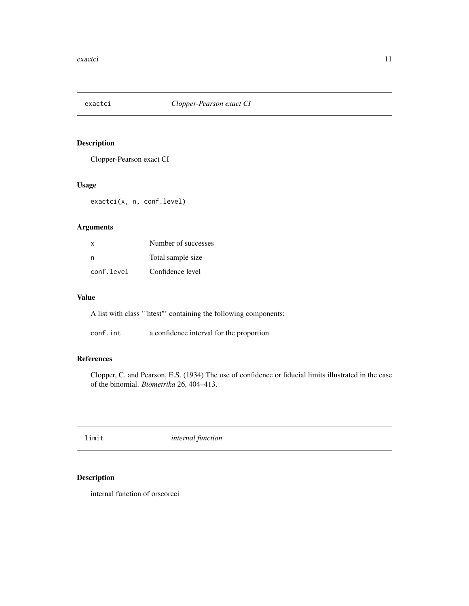<span id="page-10-0"></span>

Clopper-Pearson exact CI

# Usage

exactci(x, n, conf.level)

# Arguments

| x          | Number of successes |
|------------|---------------------|
| n          | Total sample size   |
| conf.level | Confidence level    |

### Value

A list with class '"htest"' containing the following components:

conf.int a confidence interval for the proportion

# References

Clopper, C. and Pearson, E.S. (1934) The use of confidence or fiducial limits illustrated in the case of the binomial. *Biometrika* 26, 404–413.

limit *internal function*

# Description

internal function of orscoreci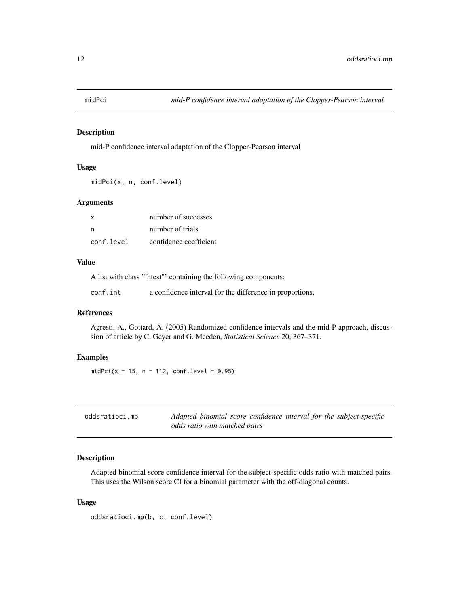<span id="page-11-0"></span>

mid-P confidence interval adaptation of the Clopper-Pearson interval

#### Usage

midPci(x, n, conf.level)

#### Arguments

| x          | number of successes    |
|------------|------------------------|
| n          | number of trials       |
| conf.level | confidence coefficient |

#### Value

A list with class '"htest"' containing the following components:

conf.int a confidence interval for the difference in proportions.

#### References

Agresti, A., Gottard, A. (2005) Randomized confidence intervals and the mid-P approach, discussion of article by C. Geyer and G. Meeden, *Statistical Science* 20, 367–371.

# Examples

 $midPci(x = 15, n = 112, conf.level = 0.95)$ 

| oddsratioci.mp | Adapted binomial score confidence interval for the subject-specific |  |
|----------------|---------------------------------------------------------------------|--|
|                | odds ratio with matched pairs                                       |  |

# Description

Adapted binomial score confidence interval for the subject-specific odds ratio with matched pairs. This uses the Wilson score CI for a binomial parameter with the off-diagonal counts.

#### Usage

```
oddsratioci.mp(b, c, conf.level)
```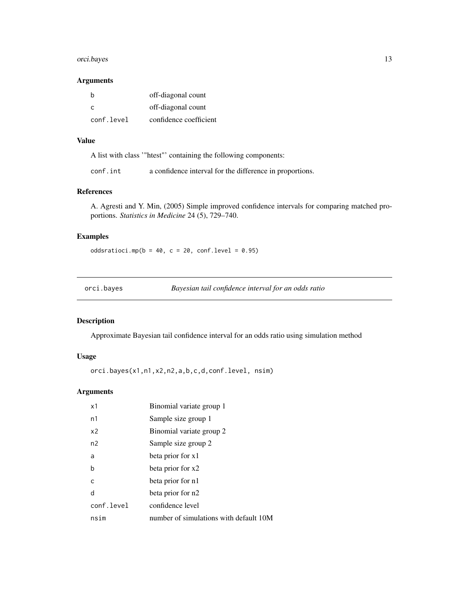# <span id="page-12-0"></span>orci.bayes 13

#### Arguments

| b          | off-diagonal count     |
|------------|------------------------|
| C.         | off-diagonal count     |
| conf.level | confidence coefficient |

# Value

A list with class '"htest"' containing the following components:

conf.int a confidence interval for the difference in proportions.

# References

A. Agresti and Y. Min, (2005) Simple improved confidence intervals for comparing matched proportions. *Statistics in Medicine* 24 (5), 729–740.

# Examples

oddsratioci.mp( $b = 40$ ,  $c = 20$ , conf.level = 0.95)

|  | orci.bayes |  |
|--|------------|--|
|  |            |  |

Bayesian tail confidence interval for an odds ratio

# Description

Approximate Bayesian tail confidence interval for an odds ratio using simulation method

#### Usage

orci.bayes(x1,n1,x2,n2,a,b,c,d,conf.level, nsim)

# Arguments

| x1             | Binomial variate group 1               |
|----------------|----------------------------------------|
| n1             | Sample size group 1                    |
| x <sub>2</sub> | Binomial variate group 2               |
| n2             | Sample size group 2                    |
| a              | beta prior for x1                      |
| b              | beta prior for x2                      |
| C              | beta prior for n1                      |
| d              | beta prior for n2                      |
| conf.level     | confidence level                       |
| nsim           | number of simulations with default 10M |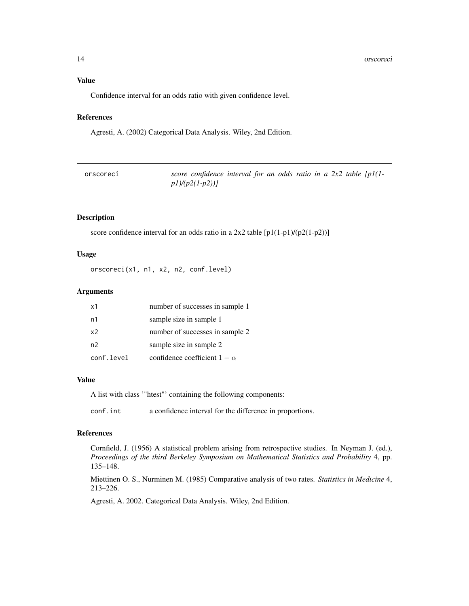#### <span id="page-13-0"></span>14 orscoreci

# Value

Confidence interval for an odds ratio with given confidence level.

# References

Agresti, A. (2002) Categorical Data Analysis. Wiley, 2nd Edition.

| orscoreci | score confidence interval for an odds ratio in a $2x^2$ table $[p](1-$ |
|-----------|------------------------------------------------------------------------|
|           | $p1)/(p2(1-p2))$                                                       |

# Description

score confidence interval for an odds ratio in a  $2x2$  table  $[p1(1-p1)/(p2(1-p2))]$ 

#### Usage

orscoreci(x1, n1, x2, n2, conf.level)

# Arguments

| x1             | number of successes in sample 1     |
|----------------|-------------------------------------|
| n1             | sample size in sample 1             |
| x <sub>2</sub> | number of successes in sample 2     |
| n <sub>2</sub> | sample size in sample 2             |
| conf.level     | confidence coefficient $1 - \alpha$ |

#### Value

A list with class '"htest"' containing the following components:

conf.int a confidence interval for the difference in proportions.

#### References

Cornfield, J. (1956) A statistical problem arising from retrospective studies. In Neyman J. (ed.), *Proceedings of the third Berkeley Symposium on Mathematical Statistics and Probability* 4, pp. 135–148.

Miettinen O. S., Nurminen M. (1985) Comparative analysis of two rates. *Statistics in Medicine* 4, 213–226.

Agresti, A. 2002. Categorical Data Analysis. Wiley, 2nd Edition.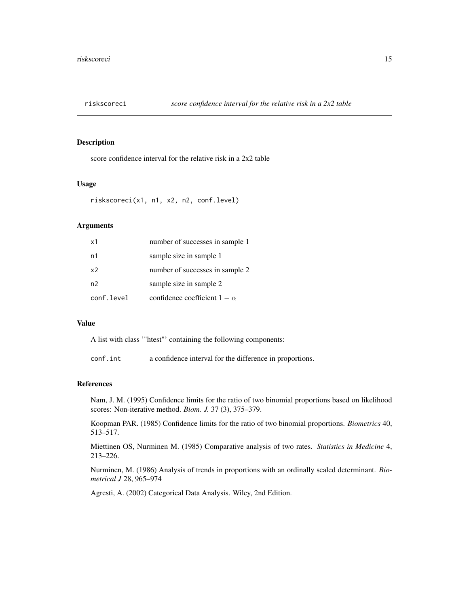<span id="page-14-0"></span>

score confidence interval for the relative risk in a 2x2 table

#### Usage

```
riskscoreci(x1, n1, x2, n2, conf.level)
```
#### **Arguments**

| x1             | number of successes in sample 1     |
|----------------|-------------------------------------|
| n1             | sample size in sample 1             |
| x <sub>2</sub> | number of successes in sample 2     |
| n2             | sample size in sample 2             |
| conf.level     | confidence coefficient $1 - \alpha$ |

#### Value

A list with class '"htest"' containing the following components:

conf.int a confidence interval for the difference in proportions.

#### References

Nam, J. M. (1995) Confidence limits for the ratio of two binomial proportions based on likelihood scores: Non-iterative method. *Biom. J.* 37 (3), 375–379.

Koopman PAR. (1985) Confidence limits for the ratio of two binomial proportions. *Biometrics* 40, 513–517.

Miettinen OS, Nurminen M. (1985) Comparative analysis of two rates. *Statistics in Medicine* 4, 213–226.

Nurminen, M. (1986) Analysis of trends in proportions with an ordinally scaled determinant. *Biometrical J* 28, 965–974

Agresti, A. (2002) Categorical Data Analysis. Wiley, 2nd Edition.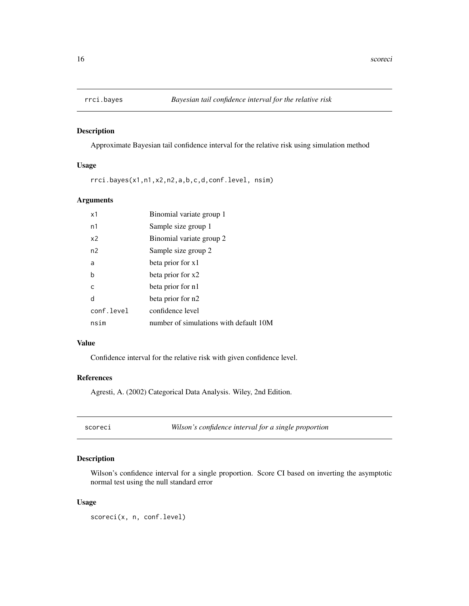<span id="page-15-0"></span>

Approximate Bayesian tail confidence interval for the relative risk using simulation method

#### Usage

rrci.bayes(x1,n1,x2,n2,a,b,c,d,conf.level, nsim)

# Arguments

| x1             | Binomial variate group 1               |
|----------------|----------------------------------------|
| n1             | Sample size group 1                    |
| x <sub>2</sub> | Binomial variate group 2               |
| n <sub>2</sub> | Sample size group 2                    |
| a              | beta prior for x1                      |
| b              | beta prior for x2                      |
| C              | beta prior for n1                      |
| d              | beta prior for n2                      |
| conf.level     | confidence level                       |
| nsim           | number of simulations with default 10M |

#### Value

Confidence interval for the relative risk with given confidence level.

### References

Agresti, A. (2002) Categorical Data Analysis. Wiley, 2nd Edition.

| scoreci | Wilson's confidence interval for a single proportion |
|---------|------------------------------------------------------|
|---------|------------------------------------------------------|

# Description

Wilson's confidence interval for a single proportion. Score CI based on inverting the asymptotic normal test using the null standard error

#### Usage

scoreci(x, n, conf.level)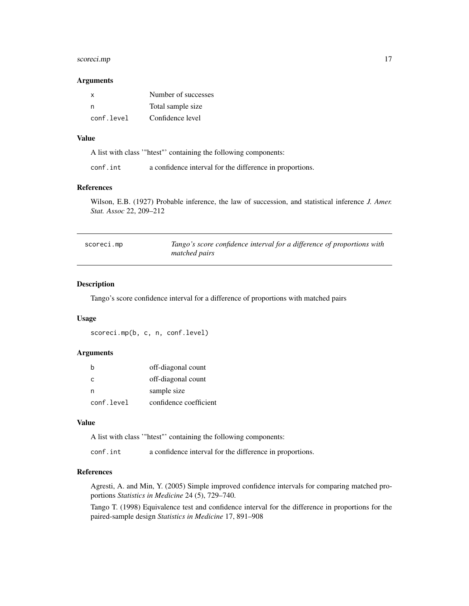# <span id="page-16-0"></span>scoreci.mp 17

#### Arguments

| x          | Number of successes |
|------------|---------------------|
| n          | Total sample size   |
| conf.level | Confidence level    |

# Value

|          | A list with class "htest" containing the following components: |
|----------|----------------------------------------------------------------|
| conf.int | a confidence interval for the difference in proportions.       |

#### References

Wilson, E.B. (1927) Probable inference, the law of succession, and statistical inference *J. Amer. Stat. Assoc* 22, 209–212

| scoreci.mp | Tango's score confidence interval for a difference of proportions with |
|------------|------------------------------------------------------------------------|
|            | <i>matched pairs</i>                                                   |

# Description

Tango's score confidence interval for a difference of proportions with matched pairs

#### Usage

```
scoreci.mp(b, c, n, conf.level)
```
#### Arguments

| b          | off-diagonal count     |
|------------|------------------------|
| C          | off-diagonal count     |
| n          | sample size            |
| conf.level | confidence coefficient |

#### Value

A list with class '"htest"' containing the following components:

conf.int a confidence interval for the difference in proportions.

# References

Agresti, A. and Min, Y. (2005) Simple improved confidence intervals for comparing matched proportions *Statistics in Medicine* 24 (5), 729–740.

Tango T. (1998) Equivalence test and confidence interval for the difference in proportions for the paired-sample design *Statistics in Medicine* 17, 891–908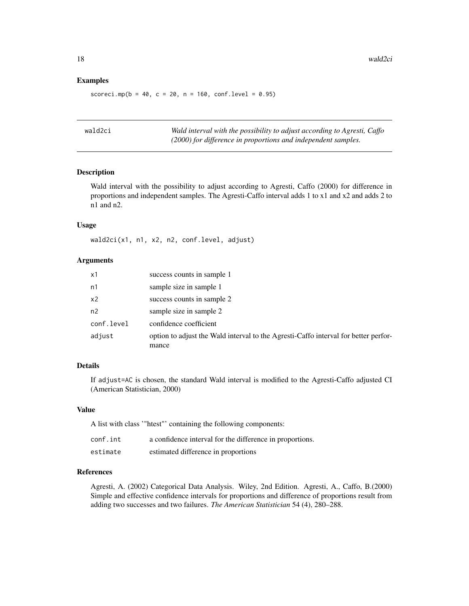#### Examples

```
scoreci.mp(b = 40, c = 20, n = 160, conf.level = 0.95)
```

| wald2ci | Wald interval with the possibility to adjust according to Agresti, Caffo |
|---------|--------------------------------------------------------------------------|
|         | (2000) for difference in proportions and independent samples.            |

# Description

Wald interval with the possibility to adjust according to Agresti, Caffo (2000) for difference in proportions and independent samples. The Agresti-Caffo interval adds 1 to x1 and x2 and adds 2 to n1 and n2.

#### Usage

wald2ci(x1, n1, x2, n2, conf.level, adjust)

#### Arguments

| x1             | success counts in sample 1                                                                   |
|----------------|----------------------------------------------------------------------------------------------|
| n1             | sample size in sample 1                                                                      |
| x <sub>2</sub> | success counts in sample 2                                                                   |
| n <sub>2</sub> | sample size in sample 2                                                                      |
| conf.level     | confidence coefficient                                                                       |
| adjust         | option to adjust the Wald interval to the Agresti-Caffo interval for better perfor-<br>mance |

#### Details

If adjust=AC is chosen, the standard Wald interval is modified to the Agresti-Caffo adjusted CI (American Statistician, 2000)

#### Value

A list with class '"htest"' containing the following components: conf.int a confidence interval for the difference in proportions. estimate estimated difference in proportions

# References

Agresti, A. (2002) Categorical Data Analysis. Wiley, 2nd Edition. Agresti, A., Caffo, B.(2000) Simple and effective confidence intervals for proportions and difference of proportions result from adding two successes and two failures. *The American Statistician* 54 (4), 280–288.

<span id="page-17-0"></span>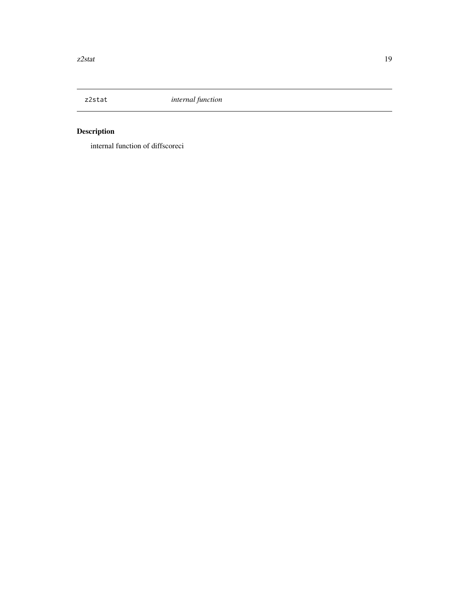<span id="page-18-0"></span>

internal function of diffscoreci